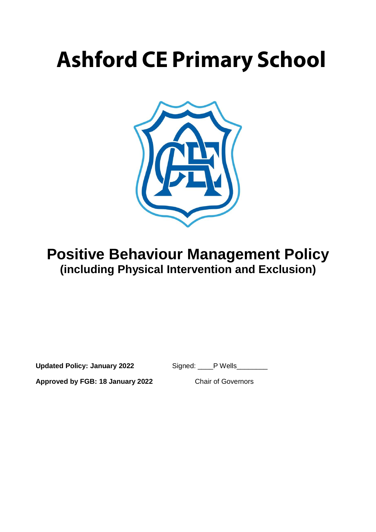# **Ashford CE Primary School**



## **Positive Behaviour Management Policy (including Physical Intervention and Exclusion)**

**Updated Policy: January 2022** Signed: \_\_\_\_P Wells\_\_\_\_\_\_\_\_

**Approved by FGB: 18 January 2022** Chair of Governors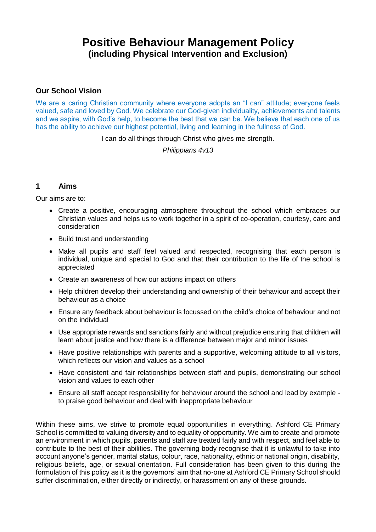## **Positive Behaviour Management Policy (including Physical Intervention and Exclusion)**

#### **Our School Vision**

We are a caring Christian community where everyone adopts an "I can" attitude; everyone feels valued, safe and loved by God. We celebrate our God-given individuality, achievements and talents and we aspire, with God's help, to become the best that we can be. We believe that each one of us has the ability to achieve our highest potential, living and learning in the fullness of God.

I can do all things through Christ who gives me strength.

*Philippians 4v13*

#### **1 Aims**

Our aims are to:

- Create a positive, encouraging atmosphere throughout the school which embraces our Christian values and helps us to work together in a spirit of co-operation, courtesy, care and consideration
- Build trust and understanding
- Make all pupils and staff feel valued and respected, recognising that each person is individual, unique and special to God and that their contribution to the life of the school is appreciated
- Create an awareness of how our actions impact on others
- Help children develop their understanding and ownership of their behaviour and accept their behaviour as a choice
- Ensure any feedback about behaviour is focussed on the child's choice of behaviour and not on the individual
- Use appropriate rewards and sanctions fairly and without prejudice ensuring that children will learn about justice and how there is a difference between major and minor issues
- Have positive relationships with parents and a supportive, welcoming attitude to all visitors, which reflects our vision and values as a school
- Have consistent and fair relationships between staff and pupils, demonstrating our school vision and values to each other
- Ensure all staff accept responsibility for behaviour around the school and lead by example to praise good behaviour and deal with inappropriate behaviour

Within these aims, we strive to promote equal opportunities in everything. Ashford CE Primary School is committed to valuing diversity and to equality of opportunity. We aim to create and promote an environment in which pupils, parents and staff are treated fairly and with respect, and feel able to contribute to the best of their abilities. The governing body recognise that it is unlawful to take into account anyone's gender, marital status, colour, race, nationality, ethnic or national origin, disability, religious beliefs, age, or sexual orientation. Full consideration has been given to this during the formulation of this policy as it is the governors' aim that no-one at Ashford CE Primary School should suffer discrimination, either directly or indirectly, or harassment on any of these grounds.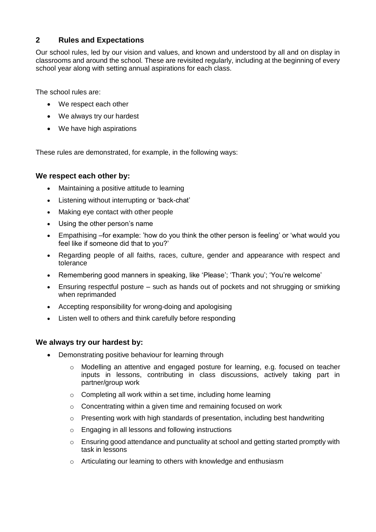#### **2 Rules and Expectations**

Our school rules, led by our vision and values, and known and understood by all and on display in classrooms and around the school. These are revisited regularly, including at the beginning of every school year along with setting annual aspirations for each class.

The school rules are:

- We respect each other
- We always try our hardest
- We have high aspirations

These rules are demonstrated, for example, in the following ways:

#### **We respect each other by:**

- Maintaining a positive attitude to learning
- Listening without interrupting or 'back-chat'
- Making eye contact with other people
- Using the other person's name
- Empathising –for example: 'how do you think the other person is feeling' or 'what would you feel like if someone did that to you?'
- Regarding people of all faiths, races, culture, gender and appearance with respect and tolerance
- Remembering good manners in speaking, like 'Please'; 'Thank you'; 'You're welcome'
- Ensuring respectful posture such as hands out of pockets and not shrugging or smirking when reprimanded
- Accepting responsibility for wrong-doing and apologising
- Listen well to others and think carefully before responding

#### **We always try our hardest by:**

- Demonstrating positive behaviour for learning through
	- o Modelling an attentive and engaged posture for learning, e.g. focused on teacher inputs in lessons, contributing in class discussions, actively taking part in partner/group work
	- o Completing all work within a set time, including home learning
	- o Concentrating within a given time and remaining focused on work
	- $\circ$  Presenting work with high standards of presentation, including best handwriting
	- o Engaging in all lessons and following instructions
	- $\circ$  Ensuring good attendance and punctuality at school and getting started promptly with task in lessons
	- o Articulating our learning to others with knowledge and enthusiasm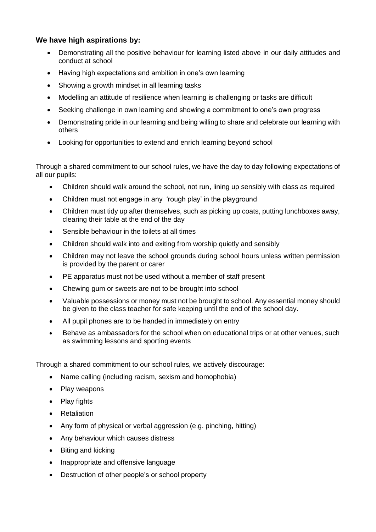#### **We have high aspirations by:**

- Demonstrating all the positive behaviour for learning listed above in our daily attitudes and conduct at school
- Having high expectations and ambition in one's own learning
- Showing a growth mindset in all learning tasks
- Modelling an attitude of resilience when learning is challenging or tasks are difficult
- Seeking challenge in own learning and showing a commitment to one's own progress
- Demonstrating pride in our learning and being willing to share and celebrate our learning with others
- Looking for opportunities to extend and enrich learning beyond school

Through a shared commitment to our school rules, we have the day to day following expectations of all our pupils:

- Children should walk around the school, not run, lining up sensibly with class as required
- Children must not engage in any 'rough play' in the playground
- Children must tidy up after themselves, such as picking up coats, putting lunchboxes away, clearing their table at the end of the day
- Sensible behaviour in the toilets at all times
- Children should walk into and exiting from worship quietly and sensibly
- Children may not leave the school grounds during school hours unless written permission is provided by the parent or carer
- PE apparatus must not be used without a member of staff present
- Chewing gum or sweets are not to be brought into school
- Valuable possessions or money must not be brought to school. Any essential money should be given to the class teacher for safe keeping until the end of the school day.
- All pupil phones are to be handed in immediately on entry
- Behave as ambassadors for the school when on educational trips or at other venues, such as swimming lessons and sporting events

Through a shared commitment to our school rules, we actively discourage:

- Name calling (including racism, sexism and homophobia)
- Play weapons
- Play fights
- **Retaliation**
- Any form of physical or verbal aggression (e.g. pinching, hitting)
- Any behaviour which causes distress
- Biting and kicking
- Inappropriate and offensive language
- Destruction of other people's or school property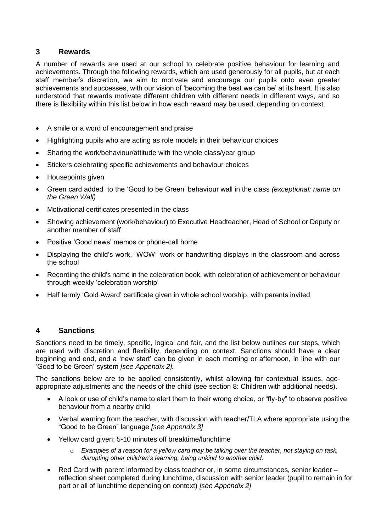#### **3 Rewards**

A number of rewards are used at our school to celebrate positive behaviour for learning and achievements. Through the following rewards, which are used generously for all pupils, but at each staff member's discretion, we aim to motivate and encourage our pupils onto even greater achievements and successes, with our vision of 'becoming the best we can be' at its heart. It is also understood that rewards motivate different children with different needs in different ways, and so there is flexibility within this list below in how each reward may be used, depending on context.

- A smile or a word of encouragement and praise
- Highlighting pupils who are acting as role models in their behaviour choices
- Sharing the work/behaviour/attitude with the whole class/vear group
- Stickers celebrating specific achievements and behaviour choices
- Housepoints given
- Green card added to the 'Good to be Green' behaviour wall in the class *(exceptional: name on the Green Wall)*
- Motivational certificates presented in the class
- Showing achievement (work/behaviour) to Executive Headteacher, Head of School or Deputy or another member of staff
- Positive 'Good news' memos or phone-call home
- Displaying the child's work, "WOW" work or handwriting displays in the classroom and across the school
- Recording the child's name in the celebration book, with celebration of achievement or behaviour through weekly 'celebration worship'
- Half termly 'Gold Award' certificate given in whole school worship, with parents invited

#### **4 Sanctions**

Sanctions need to be timely, specific, logical and fair, and the list below outlines our steps, which are used with discretion and flexibility, depending on context. Sanctions should have a clear beginning and end, and a 'new start' can be given in each morning or afternoon, in line with our 'Good to be Green' system *[see Appendix 2].*

The sanctions below are to be applied consistently, whilst allowing for contextual issues, ageappropriate adjustments and the needs of the child (see section 8: Children with additional needs).

- A look or use of child's name to alert them to their wrong choice, or "fly-by" to observe positive behaviour from a nearby child
- Verbal warning from the teacher, with discussion with teacher/TLA where appropriate using the "Good to be Green" language *[see Appendix 3]*
- Yellow card given; 5-10 minutes off breaktime/lunchtime
	- o *Examples of a reason for a yellow card may be talking over the teacher, not staying on task, disrupting other children's learning, being unkind to another child.*
- Red Card with parent informed by class teacher or, in some circumstances, senior leader reflection sheet completed during lunchtime, discussion with senior leader (pupil to remain in for part or all of lunchtime depending on context) *[see Appendix 2]*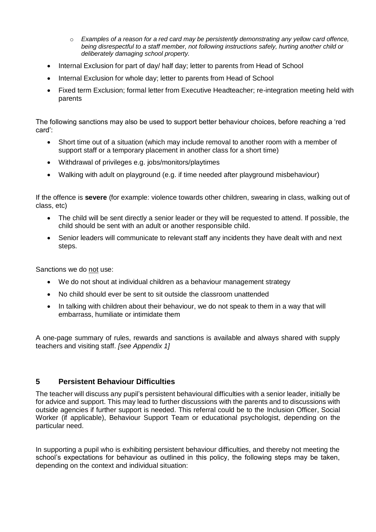- o *Examples of a reason for a red card may be persistently demonstrating any yellow card offence, being disrespectful to a staff member, not following instructions safely, hurting another child or deliberately damaging school property.*
- Internal Exclusion for part of day/ half day; letter to parents from Head of School
- Internal Exclusion for whole day; letter to parents from Head of School
- Fixed term Exclusion; formal letter from Executive Headteacher; re-integration meeting held with parents

The following sanctions may also be used to support better behaviour choices, before reaching a 'red card':

- Short time out of a situation (which may include removal to another room with a member of support staff or a temporary placement in another class for a short time)
- Withdrawal of privileges e.g. jobs/monitors/playtimes
- Walking with adult on playground (e.g. if time needed after playground misbehaviour)

If the offence is **severe** (for example: violence towards other children, swearing in class, walking out of class, etc)

- The child will be sent directly a senior leader or they will be requested to attend. If possible, the child should be sent with an adult or another responsible child.
- Senior leaders will communicate to relevant staff any incidents they have dealt with and next steps.

Sanctions we do not use:

- We do not shout at individual children as a behaviour management strategy
- No child should ever be sent to sit outside the classroom unattended
- In talking with children about their behaviour, we do not speak to them in a way that will embarrass, humiliate or intimidate them

A one-page summary of rules, rewards and sanctions is available and always shared with supply teachers and visiting staff. *[see Appendix 1]*

#### **5 Persistent Behaviour Difficulties**

The teacher will discuss any pupil's persistent behavioural difficulties with a senior leader, initially be for advice and support. This may lead to further discussions with the parents and to discussions with outside agencies if further support is needed. This referral could be to the Inclusion Officer, Social Worker (if applicable), Behaviour Support Team or educational psychologist, depending on the particular need.

In supporting a pupil who is exhibiting persistent behaviour difficulties, and thereby not meeting the school's expectations for behaviour as outlined in this policy, the following steps may be taken, depending on the context and individual situation: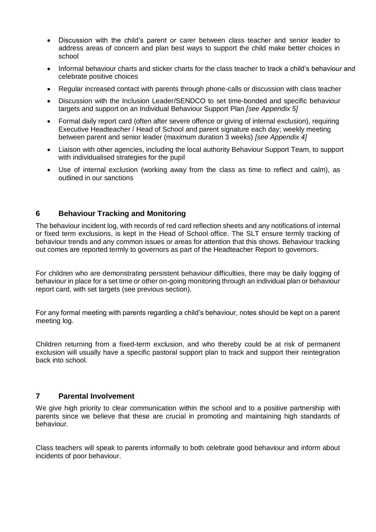- Discussion with the child's parent or carer between class teacher and senior leader to address areas of concern and plan best ways to support the child make better choices in school
- Informal behaviour charts and sticker charts for the class teacher to track a child's behaviour and celebrate positive choices
- Regular increased contact with parents through phone-calls or discussion with class teacher
- Discussion with the Inclusion Leader/SENDCO to set time-bonded and specific behaviour targets and support on an Individual Behaviour Support Plan *[see Appendix 5]*
- Formal daily report card (often after severe offence or giving of internal exclusion), requiring Executive Headteacher / Head of School and parent signature each day; weekly meeting between parent and senior leader (maximum duration 3 weeks) *[see Appendix 4]*
- Liaison with other agencies, including the local authority Behaviour Support Team, to support with individualised strategies for the pupil
- Use of internal exclusion (working away from the class as time to reflect and calm), as outlined in our sanctions

#### **6 Behaviour Tracking and Monitoring**

The behaviour incident log, with records of red card reflection sheets and any notifications of internal or fixed term exclusions, is kept in the Head of School office. The SLT ensure termly tracking of behaviour trends and any common issues or areas for attention that this shows. Behaviour tracking out comes are reported termly to governors as part of the Headteacher Report to governors.

For children who are demonstrating persistent behaviour difficulties, there may be daily logging of behaviour in place for a set time or other on-going monitoring through an individual plan or behaviour report card, with set targets (see previous section).

For any formal meeting with parents regarding a child's behaviour, notes should be kept on a parent meeting log.

Children returning from a fixed-term exclusion, and who thereby could be at risk of permanent exclusion will usually have a specific pastoral support plan to track and support their reintegration back into school.

#### **7 Parental Involvement**

We give high priority to clear communication within the school and to a positive partnership with parents since we believe that these are crucial in promoting and maintaining high standards of behaviour.

Class teachers will speak to parents informally to both celebrate good behaviour and inform about incidents of poor behaviour.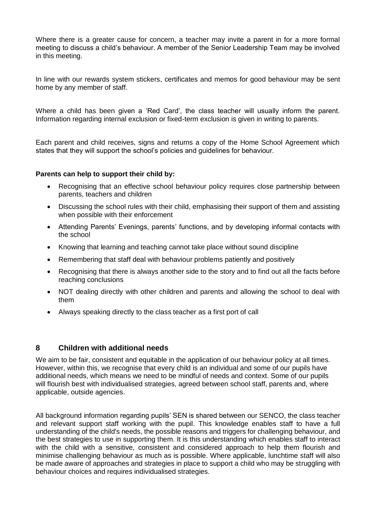Where there is a greater cause for concern, a teacher may invite a parent in for a more formal meeting to discuss a child's behaviour. A member of the Senior Leadership Team may be involved in this meeting.

In line with our rewards system stickers, certificates and memos for good behaviour may be sent home by any member of staff.

Where a child has been given a 'Red Card', the class teacher will usually inform the parent. Information regarding internal exclusion or fixed-term exclusion is given in writing to parents.

Each parent and child receives, signs and returns a copy of the Home School Agreement which states that they will support the school's policies and guidelines for behaviour.

#### **Parents can help to support their child by:**

- Recognising that an effective school behaviour policy requires close partnership between parents, teachers and children
- Discussing the school rules with their child, emphasising their support of them and assisting when possible with their enforcement
- Attending Parents' Evenings, parents' functions, and by developing informal contacts with the school
- Knowing that learning and teaching cannot take place without sound discipline
- Remembering that staff deal with behaviour problems patiently and positively
- Recognising that there is always another side to the story and to find out all the facts before reaching conclusions
- NOT dealing directly with other children and parents and allowing the school to deal with them
- Always speaking directly to the class teacher as a first port of call

#### **8 Children with additional needs**

We aim to be fair, consistent and equitable in the application of our behaviour policy at all times. However, within this, we recognise that every child is an individual and some of our pupils have additional needs, which means we need to be mindful of needs and context. Some of our pupils will flourish best with individualised strategies, agreed between school staff, parents and, where applicable, outside agencies.

All background information regarding pupils' SEN is shared between our SENCO, the class teacher and relevant support staff working with the pupil. This knowledge enables staff to have a full understanding of the child's needs, the possible reasons and triggers for challenging behaviour, and the best strategies to use in supporting them. It is this understanding which enables staff to interact with the child with a sensitive, consistent and considered approach to help them flourish and minimise challenging behaviour as much as is possible. Where applicable, lunchtime staff will also be made aware of approaches and strategies in place to support a child who may be struggling with behaviour choices and requires individualised strategies.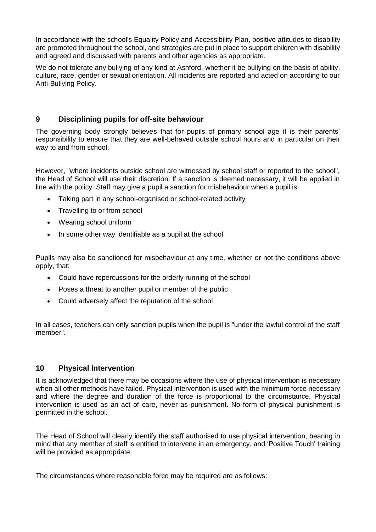In accordance with the school's Equality Policy and Accessibility Plan, positive attitudes to disability are promoted throughout the school, and strategies are put in place to support children with disability and agreed and discussed with parents and other agencies as appropriate.

We do not tolerate any bullying of any kind at Ashford, whether it be bullying on the basis of ability, culture, race, gender or sexual orientation. All incidents are reported and acted on according to our Anti-Bullying Policy.

#### **9 Disciplining pupils for off-site behaviour**

The governing body strongly believes that for pupils of primary school age it is their parents' responsibility to ensure that they are well-behaved outside school hours and in particular on their way to and from school.

However, "where incidents outside school are witnessed by school staff or reported to the school", the Head of School will use their discretion. If a sanction is deemed necessary, it will be applied in line with the policy. Staff may give a pupil a sanction for misbehaviour when a pupil is:

- Taking part in any school-organised or school-related activity
- Travelling to or from school
- Wearing school uniform
- In some other way identifiable as a pupil at the school

Pupils may also be sanctioned for misbehaviour at any time, whether or not the conditions above apply, that:

- Could have repercussions for the orderly running of the school
- Poses a threat to another pupil or member of the public
- Could adversely affect the reputation of the school

In all cases, teachers can only sanction pupils when the pupil is "under the lawful control of the staff member".

#### **10 Physical Intervention**

It is acknowledged that there may be occasions where the use of physical intervention is necessary when all other methods have failed. Physical intervention is used with the minimum force necessary and where the degree and duration of the force is proportional to the circumstance. Physical intervention is used as an act of care, never as punishment. No form of physical punishment is permitted in the school.

The Head of School will clearly identify the staff authorised to use physical intervention, bearing in mind that any member of staff is entitled to intervene in an emergency, and 'Positive Touch' training will be provided as appropriate.

The circumstances where reasonable force may be required are as follows: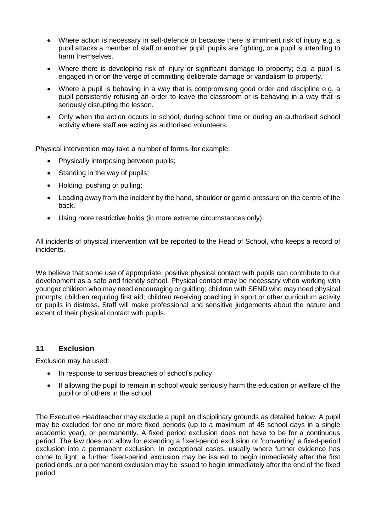- Where action is necessary in self-defence or because there is imminent risk of injury e.g. a pupil attacks a member of staff or another pupil, pupils are fighting, or a pupil is intending to harm themselves.
- Where there is developing risk of injury or significant damage to property; e.g. a pupil is engaged in or on the verge of committing deliberate damage or vandalism to property.
- Where a pupil is behaving in a way that is compromising good order and discipline e.g. a pupil persistently refusing an order to leave the classroom or is behaving in a way that is seriously disrupting the lesson.
- Only when the action occurs in school, during school time or during an authorised school activity where staff are acting as authorised volunteers.

Physical intervention may take a number of forms, for example:

- Physically interposing between pupils;
- Standing in the way of pupils;
- Holding, pushing or pulling;
- Leading away from the incident by the hand, shoulder or gentle pressure on the centre of the back.
- Using more restrictive holds (in more extreme circumstances only)

All incidents of physical intervention will be reported to the Head of School, who keeps a record of incidents.

We believe that some use of appropriate, positive physical contact with pupils can contribute to our development as a safe and friendly school. Physical contact may be necessary when working with younger children who may need encouraging or guiding; children with SEND who may need physical prompts; children requiring first aid; children receiving coaching in sport or other curriculum activity or pupils in distress. Staff will make professional and sensitive judgements about the nature and extent of their physical contact with pupils.

#### **11 Exclusion**

Exclusion may be used:

- In response to serious breaches of school's policy
- If allowing the pupil to remain in school would seriously harm the education or welfare of the pupil or of others in the school

The Executive Headteacher may exclude a pupil on disciplinary grounds as detailed below. A pupil may be excluded for one or more fixed periods (up to a maximum of 45 school days in a single academic year), or permanently. A fixed period exclusion does not have to be for a continuous period. The law does not allow for extending a fixed-period exclusion or 'converting' a fixed-period exclusion into a permanent exclusion. In exceptional cases, usually where further evidence has come to light, a further fixed-period exclusion may be issued to begin immediately after the first period ends; or a permanent exclusion may be issued to begin immediately after the end of the fixed period.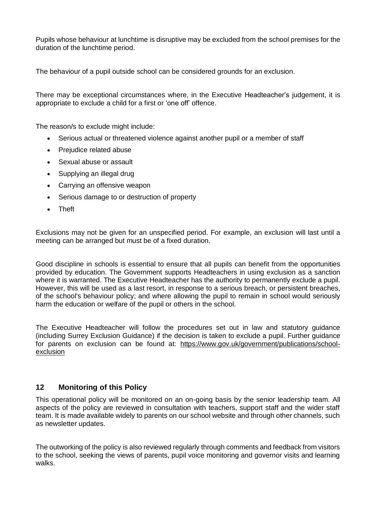Pupils whose behaviour at lunchtime is disruptive may be excluded from the school premises for the duration of the lunchtime period.

The behaviour of a pupil outside school can be considered grounds for an exclusion.

There may be exceptional circumstances where, in the Executive Headteacher's judgement, it is appropriate to exclude a child for a first or 'one off' offence.

The reason/s to exclude might include:

- Serious actual or threatened violence against another pupil or a member of staff
- Prejudice related abuse
- Sexual abuse or assault
- Supplying an illegal drug
- Carrying an offensive weapon
- Serious damage to or destruction of property
- Theft

Exclusions may not be given for an unspecified period. For example, an exclusion will last until a meeting can be arranged but must be of a fixed duration.

Good discipline in schools is essential to ensure that all pupils can benefit from the opportunities provided by education. The Government supports Headteachers in using exclusion as a sanction where it is warranted. The Executive Headteacher has the authority to permanently exclude a pupil. However, this will be used as a last resort, in response to a serious breach, or persistent breaches, of the school's behaviour policy; and where allowing the pupil to remain in school would seriously harm the education or welfare of the pupil or others in the school.

The Executive Headteacher will follow the procedures set out in law and statutory guidance (including Surrey Exclusion Guidance) if the decision is taken to exclude a pupil. Further guidance for parents on exclusion can be found at: [https://www.gov.uk/government/publications/school](https://www.gov.uk/government/publications/school-exclusion)[exclusion](https://www.gov.uk/government/publications/school-exclusion)

#### **12 Monitoring of this Policy**

This operational policy will be monitored on an on-going basis by the senior leadership team. All aspects of the policy are reviewed in consultation with teachers, support staff and the wider staff team. It is made available widely to parents on our school website and through other channels, such as newsletter updates.

The outworking of the policy is also reviewed regularly through comments and feedback from visitors to the school, seeking the views of parents, pupil voice monitoring and governor visits and learning walks.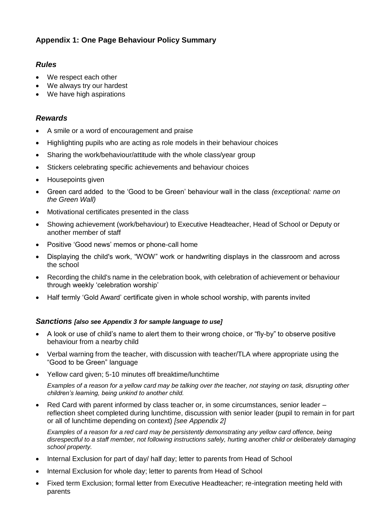## **Appendix 1: One Page Behaviour Policy Summary**

#### *Rules*

- We respect each other
- We always try our hardest
- We have high aspirations

#### *Rewards*

- A smile or a word of encouragement and praise
- Highlighting pupils who are acting as role models in their behaviour choices
- Sharing the work/behaviour/attitude with the whole class/year group
- Stickers celebrating specific achievements and behaviour choices
- Housepoints given
- Green card added to the 'Good to be Green' behaviour wall in the class *(exceptional: name on the Green Wall)*
- Motivational certificates presented in the class
- Showing achievement (work/behaviour) to Executive Headteacher, Head of School or Deputy or another member of staff
- Positive 'Good news' memos or phone-call home
- Displaying the child's work, "WOW" work or handwriting displays in the classroom and across the school
- Recording the child's name in the celebration book, with celebration of achievement or behaviour through weekly 'celebration worship'
- Half termly 'Gold Award' certificate given in whole school worship, with parents invited

#### *Sanctions [also see Appendix 3 for sample language to use]*

- A look or use of child's name to alert them to their wrong choice, or "fly-by" to observe positive behaviour from a nearby child
- Verbal warning from the teacher, with discussion with teacher/TLA where appropriate using the "Good to be Green" language
- Yellow card given; 5-10 minutes off breaktime/lunchtime

*Examples of a reason for a yellow card may be talking over the teacher, not staying on task, disrupting other children's learning, being unkind to another child.*

• Red Card with parent informed by class teacher or, in some circumstances, senior leader – reflection sheet completed during lunchtime, discussion with senior leader (pupil to remain in for part or all of lunchtime depending on context) *[see Appendix 2]*

*Examples of a reason for a red card may be persistently demonstrating any yellow card offence, being disrespectful to a staff member, not following instructions safely, hurting another child or deliberately damaging school property.*

- Internal Exclusion for part of day/ half day; letter to parents from Head of School
- Internal Exclusion for whole day; letter to parents from Head of School
- Fixed term Exclusion; formal letter from Executive Headteacher; re-integration meeting held with parents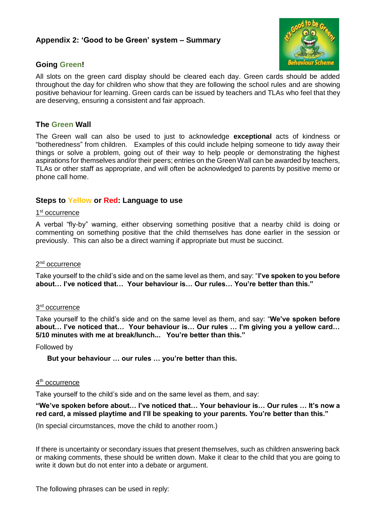#### **Appendix 2: 'Good to be Green' system – Summary**



#### **Going Green!**

All slots on the green card display should be cleared each day. Green cards should be added throughout the day for children who show that they are following the school rules and are showing positive behaviour for learning. Green cards can be issued by teachers and TLAs who feel that they are deserving, ensuring a consistent and fair approach.

#### **The Green Wall**

The Green wall can also be used to just to acknowledge **exceptional** acts of kindness or "botheredness" from children. Examples of this could include helping someone to tidy away their things or solve a problem, going out of their way to help people or demonstrating the highest aspirations for themselves and/or their peers; entries on the Green Wall can be awarded by teachers, TLAs or other staff as appropriate, and will often be acknowledged to parents by positive memo or phone call home.

#### **Steps to Yellow or Red: Language to use**

#### 1<sup>st</sup> occurrence

A verbal "fly-by" warning, either observing something positive that a nearby child is doing or commenting on something positive that the child themselves has done earlier in the session or previously. This can also be a direct warning if appropriate but must be succinct.

#### 2<sup>nd</sup> occurrence

Take yourself to the child's side and on the same level as them, and say: "**I've spoken to you before about… I've noticed that… Your behaviour is… Our rules… You're better than this."**

#### 3<sup>rd</sup> occurrence

Take yourself to the child's side and on the same level as them, and say: "**We've spoken before about… I've noticed that… Your behaviour is… Our rules … I'm giving you a yellow card… 5/10 minutes with me at break/lunch... You're better than this."**

#### Followed by

**But your behaviour … our rules … you're better than this.**

#### 4<sup>th</sup> occurrence

Take yourself to the child's side and on the same level as them, and say:

#### **"We've spoken before about… I've noticed that… Your behaviour is… Our rules … It's now a red card, a missed playtime and I'll be speaking to your parents. You're better than this."**

(In special circumstances, move the child to another room.)

If there is uncertainty or secondary issues that present themselves, such as children answering back or making comments, these should be written down. Make it clear to the child that you are going to write it down but do not enter into a debate or argument.

The following phrases can be used in reply: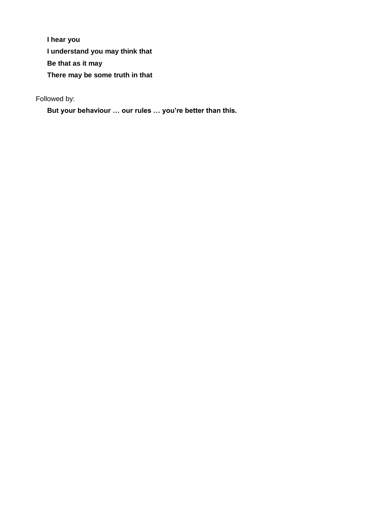**I hear you I understand you may think that Be that as it may There may be some truth in that**

Followed by:

**But your behaviour … our rules … you're better than this.**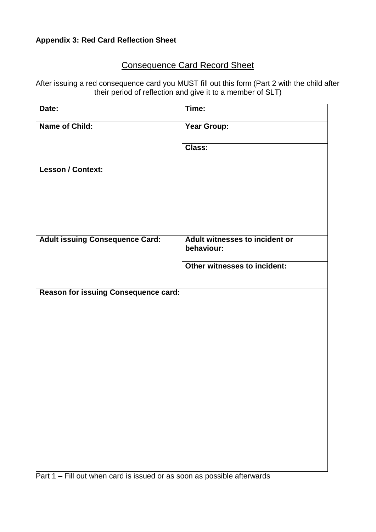## **Appendix 3: Red Card Reflection Sheet**

## Consequence Card Record Sheet

After issuing a red consequence card you MUST fill out this form (Part 2 with the child after their period of reflection and give it to a member of SLT)

| Date:                                  | Time:                                        |
|----------------------------------------|----------------------------------------------|
| <b>Name of Child:</b>                  | Year Group:                                  |
|                                        | Class:                                       |
| <b>Lesson / Context:</b>               |                                              |
|                                        |                                              |
|                                        |                                              |
|                                        |                                              |
| <b>Adult issuing Consequence Card:</b> | Adult witnesses to incident or<br>behaviour: |
|                                        | Other witnesses to incident:                 |
| Reason for issuing Consequence card:   |                                              |
|                                        |                                              |
|                                        |                                              |
|                                        |                                              |
|                                        |                                              |
|                                        |                                              |
|                                        |                                              |
|                                        |                                              |
|                                        |                                              |
|                                        |                                              |

Part 1 – Fill out when card is issued or as soon as possible afterwards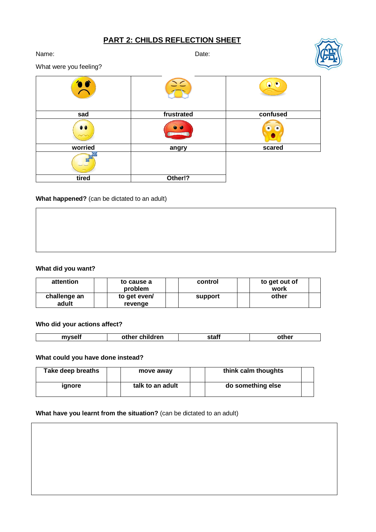## **PART 2: CHILDS REFLECTION SHEET**

Name: **Name:** 2008. **Date:** 2008. **Date:** 2008. **Date:** 2008. **Date:** 2008. **Date:** 



What were you feeling?

| sad       | frustrated | confused  |
|-----------|------------|-----------|
| $\bullet$ |            | $\bullet$ |
| worried   | angry      | scared    |
|           |            |           |
| tired     | Other!?    |           |

#### **What happened?** (can be dictated to an adult)

#### **What did you want?**

| attention             | to cause a<br>problem   | control | to get out of<br>work |
|-----------------------|-------------------------|---------|-----------------------|
| challenge an<br>adult | to get even/<br>revenge | support | other                 |

#### **Who did your actions affect?**

| ___ | <br>. | lran<br>---<br>othel<br>ы | <b>ALAF</b><br>่งเสม | . |
|-----|-------|---------------------------|----------------------|---|
|-----|-------|---------------------------|----------------------|---|

#### **What could you have done instead?**

| Take deep breaths | move away        | think calm thoughts |  |
|-------------------|------------------|---------------------|--|
| <b>idhore</b>     | talk to an adult | do something else   |  |

#### **What have you learnt from the situation?** (can be dictated to an adult)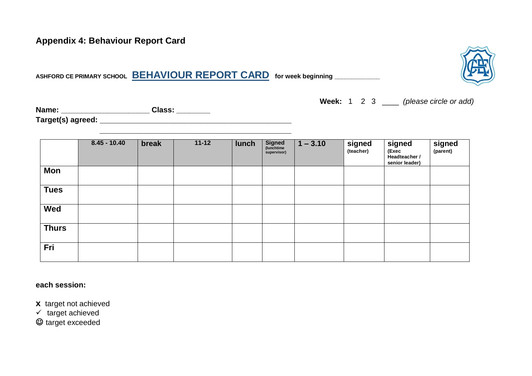## **Appendix 4: Behaviour Report Card**

**ASHFORD CE PRIMARY SCHOOL BEHAVIOUR REPORT CARD for week beginning \_\_\_\_\_\_\_\_\_\_\_\_\_** 

**Week:** 1 2 3 \_\_\_\_ *(please circle or add)*

| Name: | Class: |
|-------|--------|
|       |        |

**Target(s) agreed: \_\_\_\_\_\_\_\_\_\_\_\_\_\_\_\_\_\_\_\_\_\_\_\_\_\_\_\_\_\_\_\_\_\_\_\_\_\_\_**

|              | $8.45 - 10.40$ | break | $11 - 12$ | lunch | <b>Signed</b><br>(lunchtime<br>supervisor) | $1 - 3.10$ | signed<br>(teacher) | signed<br>(Exec<br>Headteacher /<br>senior leader) | Signed<br>(parent) |
|--------------|----------------|-------|-----------|-------|--------------------------------------------|------------|---------------------|----------------------------------------------------|--------------------|
| Mon          |                |       |           |       |                                            |            |                     |                                                    |                    |
| <b>Tues</b>  |                |       |           |       |                                            |            |                     |                                                    |                    |
| Wed          |                |       |           |       |                                            |            |                     |                                                    |                    |
| <b>Thurs</b> |                |       |           |       |                                            |            |                     |                                                    |                    |
| Fri          |                |       |           |       |                                            |            |                     |                                                    |                    |

**each session:** 

**x** target not achieved

 $\times$  target achieved

 $\odot$  target exceeded

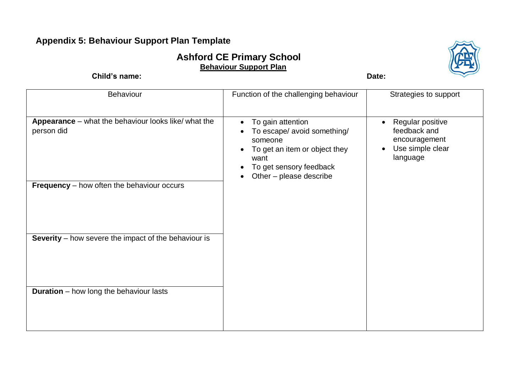## **Appendix 5: Behaviour Support Plan Template**

## **Ashford CE Primary School Behaviour Support Plan**

**Child's name:** Date:

| Behaviour                                                                                                               | Function of the challenging behaviour                                                                                                                                                                          | Strategies to support                                                                                       |
|-------------------------------------------------------------------------------------------------------------------------|----------------------------------------------------------------------------------------------------------------------------------------------------------------------------------------------------------------|-------------------------------------------------------------------------------------------------------------|
| Appearance - what the behaviour looks like/ what the<br>person did<br><b>Frequency</b> – how often the behaviour occurs | To gain attention<br>$\bullet$<br>To escape/ avoid something/<br>someone<br>To get an item or object they<br>$\bullet$<br>want<br>To get sensory feedback<br>$\bullet$<br>Other - please describe<br>$\bullet$ | Regular positive<br>$\bullet$<br>feedback and<br>encouragement<br>Use simple clear<br>$\bullet$<br>language |
|                                                                                                                         |                                                                                                                                                                                                                |                                                                                                             |
| <b>Severity</b> – how severe the impact of the behaviour is                                                             |                                                                                                                                                                                                                |                                                                                                             |
| <b>Duration</b> – how long the behaviour lasts                                                                          |                                                                                                                                                                                                                |                                                                                                             |

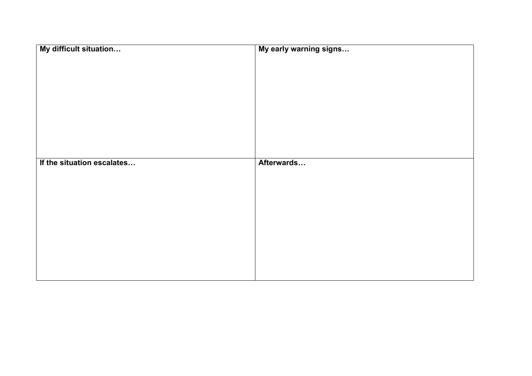| My difficult situation     | My early warning signs |
|----------------------------|------------------------|
|                            |                        |
|                            |                        |
|                            |                        |
|                            |                        |
|                            |                        |
|                            |                        |
|                            |                        |
|                            |                        |
|                            |                        |
|                            |                        |
|                            |                        |
|                            |                        |
| If the situation escalates | Afterwards             |
|                            |                        |
|                            |                        |
|                            |                        |
|                            |                        |
|                            |                        |
|                            |                        |
|                            |                        |
|                            |                        |
|                            |                        |
|                            |                        |
|                            |                        |
|                            |                        |
|                            |                        |
|                            |                        |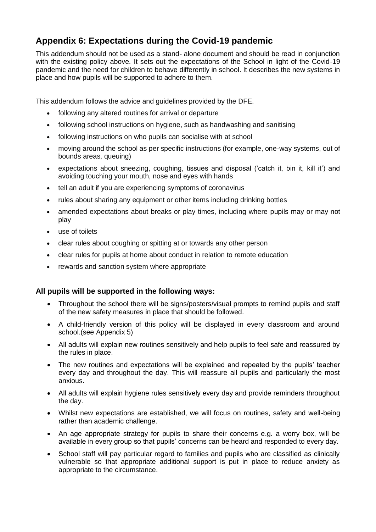## **Appendix 6: Expectations during the Covid-19 pandemic**

This addendum should not be used as a stand- alone document and should be read in conjunction with the existing policy above. It sets out the expectations of the School in light of the Covid-19 pandemic and the need for children to behave differently in school. It describes the new systems in place and how pupils will be supported to adhere to them.

This addendum follows the advice and guidelines provided by the DFE.

- following any altered routines for arrival or departure
- following school instructions on hygiene, such as handwashing and sanitising
- following instructions on who pupils can socialise with at school
- moving around the school as per specific instructions (for example, one-way systems, out of bounds areas, queuing)
- expectations about sneezing, coughing, tissues and disposal ('catch it, bin it, kill it') and avoiding touching your mouth, nose and eyes with hands
- tell an adult if you are experiencing symptoms of coronavirus
- rules about sharing any equipment or other items including drinking bottles
- amended expectations about breaks or play times, including where pupils may or may not play
- use of toilets
- clear rules about coughing or spitting at or towards any other person
- clear rules for pupils at home about conduct in relation to remote education
- rewards and sanction system where appropriate

#### **All pupils will be supported in the following ways:**

- Throughout the school there will be signs/posters/visual prompts to remind pupils and staff of the new safety measures in place that should be followed.
- A child-friendly version of this policy will be displayed in every classroom and around school.(see Appendix 5)
- All adults will explain new routines sensitively and help pupils to feel safe and reassured by the rules in place.
- The new routines and expectations will be explained and repeated by the pupils' teacher every day and throughout the day. This will reassure all pupils and particularly the most anxious.
- All adults will explain hygiene rules sensitively every day and provide reminders throughout the day.
- Whilst new expectations are established, we will focus on routines, safety and well-being rather than academic challenge.
- An age appropriate strategy for pupils to share their concerns e.g. a worry box, will be available in every group so that pupils' concerns can be heard and responded to every day.
- School staff will pay particular regard to families and pupils who are classified as clinically vulnerable so that appropriate additional support is put in place to reduce anxiety as appropriate to the circumstance.